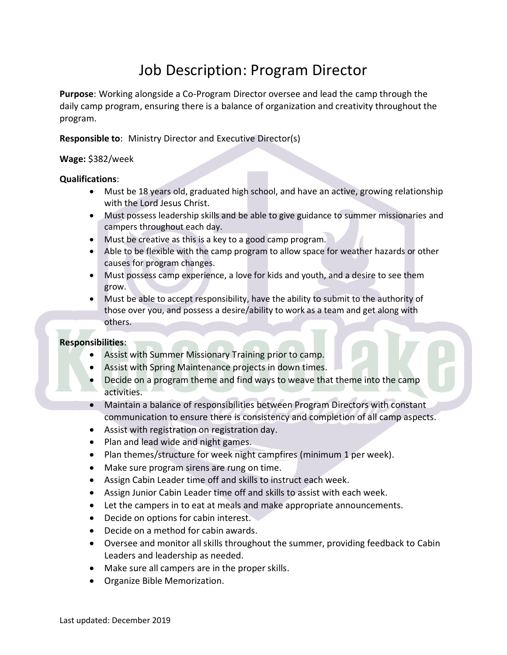# Job Description: Program Director

**Purpose**: Working alongside a Co-Program Director oversee and lead the camp through the daily camp program, ensuring there is a balance of organization and creativity throughout the program.

# **Responsible to**: Ministry Director and Executive Director(s)

## **Wage:** \$382/week

## **Qualifications**:

- Must be 18 years old, graduated high school, and have an active, growing relationship with the Lord Jesus Christ.
- Must possess leadership skills and be able to give guidance to summer missionaries and campers throughout each day.
- Must be creative as this is a key to a good camp program.
- Able to be flexible with the camp program to allow space for weather hazards or other causes for program changes.
- Must possess camp experience, a love for kids and youth, and a desire to see them grow.
- Must be able to accept responsibility, have the ability to submit to the authority of those over you, and possess a desire/ability to work as a team and get along with others.

## **Responsibilities**:

- Assist with Summer Missionary Training prior to camp.
- Assist with Spring Maintenance projects in down times.
- Decide on a program theme and find ways to weave that theme into the camp activities.
- Maintain a balance of responsibilities between Program Directors with constant communication to ensure there is consistency and completion of all camp aspects.
- Assist with registration on registration day.
- Plan and lead wide and night games.
- Plan themes/structure for week night campfires (minimum 1 per week).
- Make sure program sirens are rung on time.
- Assign Cabin Leader time off and skills to instruct each week.
- Assign Junior Cabin Leader time off and skills to assist with each week.
- Let the campers in to eat at meals and make appropriate announcements.
- Decide on options for cabin interest.
- Decide on a method for cabin awards.
- Oversee and monitor all skills throughout the summer, providing feedback to Cabin Leaders and leadership as needed.
- Make sure all campers are in the proper skills.
- Organize Bible Memorization.